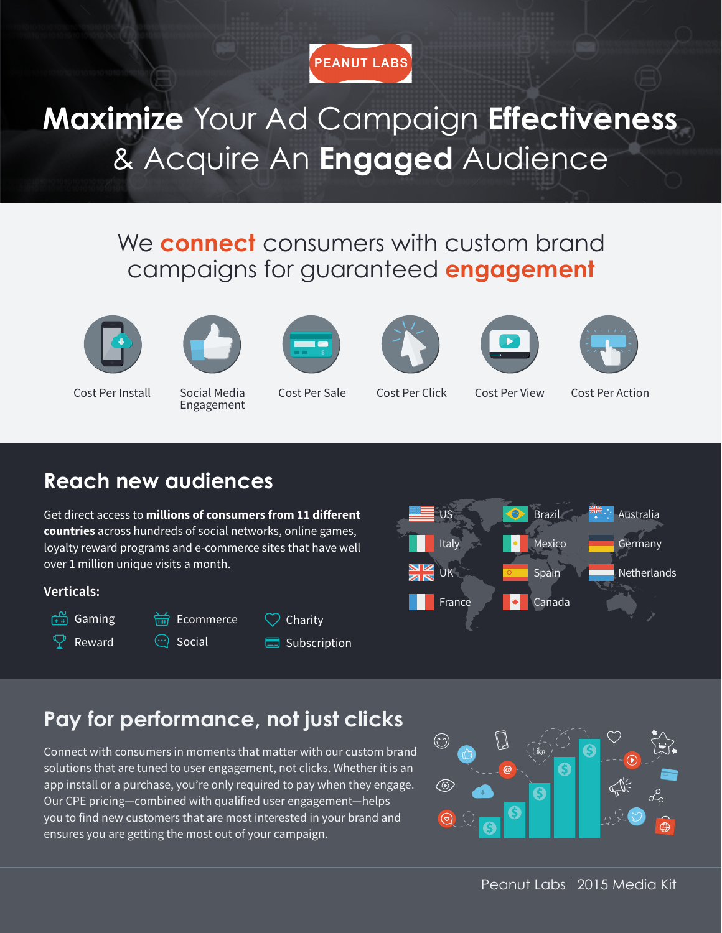

**Maximize** Your Ad Campaign **Effectiveness**  & Acquire An **Engaged** Audience

#### We **connect** consumers with custom brand campaigns for guaranteed **engagement**





Cost Per Install Social Media

Engagement











Cost Per Sale Cost Per Click Cost Per View Cost Per Action

### **Reach new audiences**

US France Italy UK Australia Germany **Netherlands** Canada Mexico Brazil **Spain** 

Get direct access to **millions of consumers from 11 different countries** across hundreds of social networks, online games, loyalty reward programs and e-commerce sites that have well over 1 million unique visits a month.

盖 Fcommerce

#### **Verticals:**



 $\mathfrak{\mathcal{P}}$  Reward

 $\odot$  Social

| Charity |
|---------|
|---------|

Subscription



Connect with consumers in moments that matter with our custom brand solutions that are tuned to user engagement, not clicks. Whether it is an app install or a purchase, you're only required to pay when they engage. Our CPE pricing—combined with qualified user engagement—helps you to find new customers that are most interested in your brand and ensures you are getting the most out of your campaign.

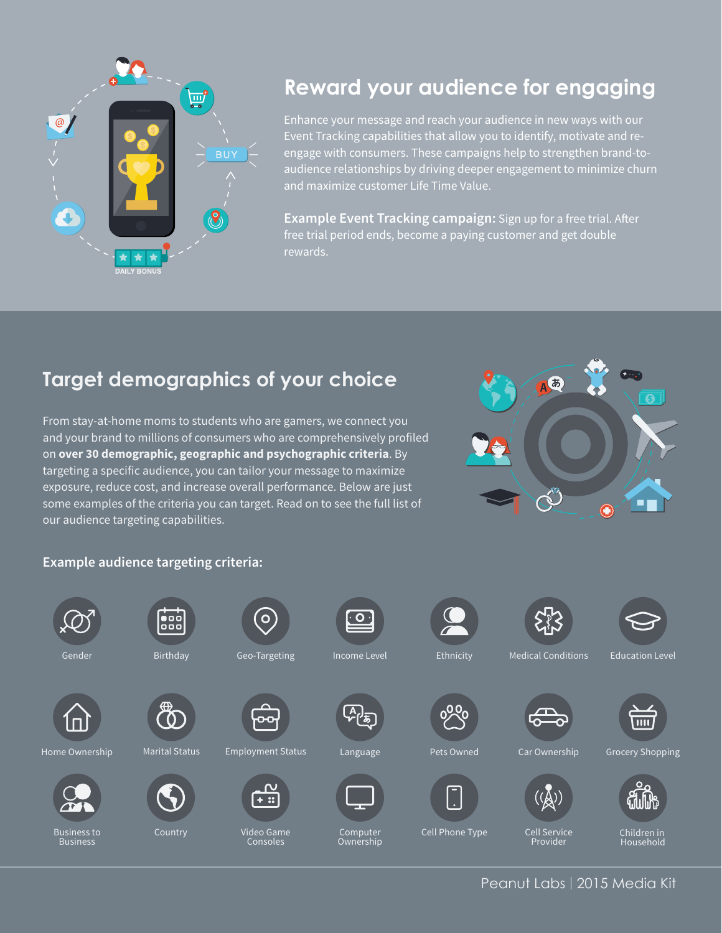

### **Reward your audience for engaging**

Enhance your message and reach your audience in new ways with our Event Tracking capabilities that allow you to identify, motivate and reengage with consumers. These campaigns help to strengthen brand-toaudience relationships by driving deeper engagement to minimize churn

**Example Event Tracking campaign:** Sign up for a free trial. After free trial period ends, become a paying customer and get double rewards.

### **Target demographics of your choice**

From stay-at-home moms to students who are gamers, we connect you and your brand to millions of consumers who are comprehensively profiled on **over 30 demographic, geographic and psychographic criteria**. By targeting a specific audience, you can tailor your message to maximize exposure, reduce cost, and increase overall performance. Below are just some examples of the criteria you can target. Read on to see the full list of our audience targeting capabilities.



#### **Example audience targeting criteria:**



Peanut Labs | 2015 Media Kit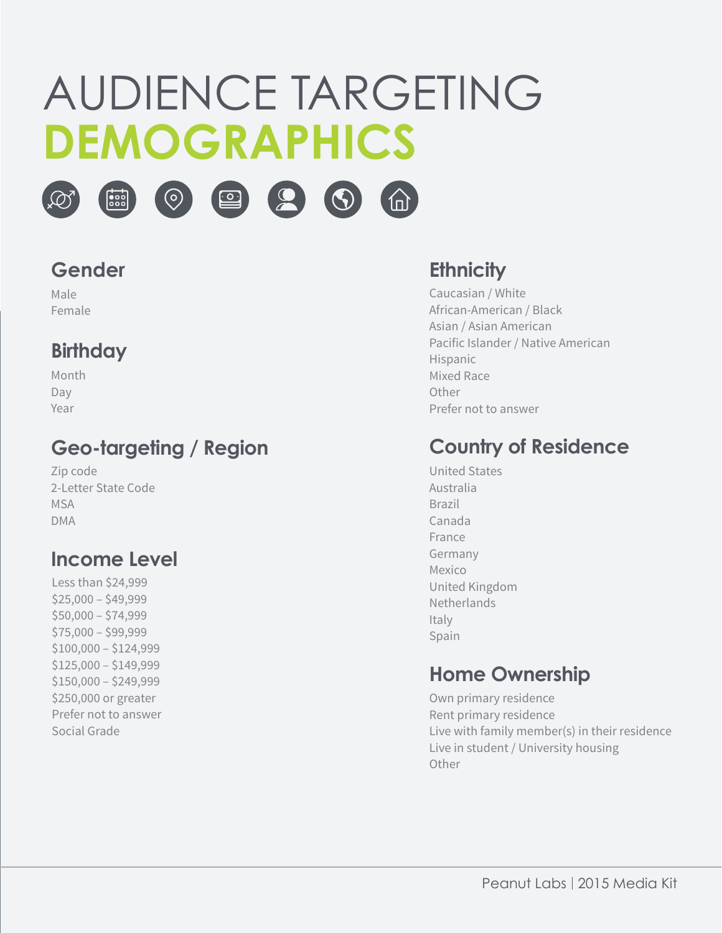# AUDIENCE TARGETING **DEMOGRAPHICS**









Male Female

#### **Birthday**

| Month |
|-------|
| Day   |
| Year  |

#### **Geo-targeting / Region**

Zip code 2-Letter State Code **MSA** DMA

#### **Income Level**

Less than \$24,999  $$25,000 - $49,999$ \$50,000 – \$74,999 \$75,000 – \$99,999 \$100,000 – \$124,999 \$125,000 – \$149,999 \$150,000 – \$249,999 \$250,000 or greater Prefer not to answer Social Grade

#### **Ethnicity**

Caucasian / White African-American / Black Asian / Asian American Pacific Islander / Native American Hispanic Mixed Race Other Prefer not to answer

#### **Country of Residence**

United States Australia Brazil Canada France Germany Mexico United Kingdom Netherlands Italy Spain

#### **Home Ownership**

Own primary residence Rent primary residence Live with family member(s) in their residence Live in student / University housing **Other**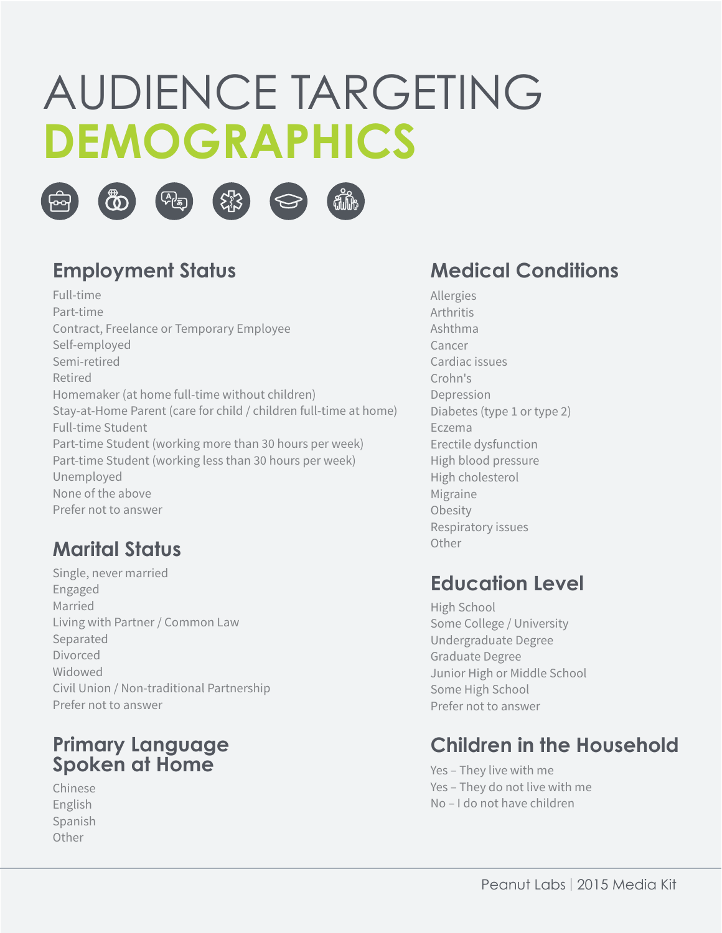# AUDIENCE TARGETING **DEMOGRAPHICS**









#### **Employment Status**

Full-time Part-time Contract, Freelance or Temporary Employee Self-employed Semi-retired Retired Homemaker (at home full-time without children) Stay-at-Home Parent (care for child / children full-time at home) Full-time Student Part-time Student (working more than 30 hours per week) Part-time Student (working less than 30 hours per week) Unemployed None of the above Prefer not to answer

#### **Marital Status**

Single, never married Engaged Married Living with Partner / Common Law Separated Divorced **Widowed** Civil Union / Non-traditional Partnership Prefer not to answer

#### **Primary Language Spoken at Home**

Chinese English Spanish **Other** 

#### **Medical Conditions**

Allergies Arthritis Ashthma Cancer Cardiac issues Crohn's Depression Diabetes (type 1 or type 2) Eczema Erectile dysfunction High blood pressure High cholesterol Migraine **Obesity** Respiratory issues Other

#### **Education Level**

High School Some College / University Undergraduate Degree Graduate Degree Junior High or Middle School Some High School Prefer not to answer

#### **Children in the Household**

Yes – They live with me Yes – They do not live with me No – I do not have children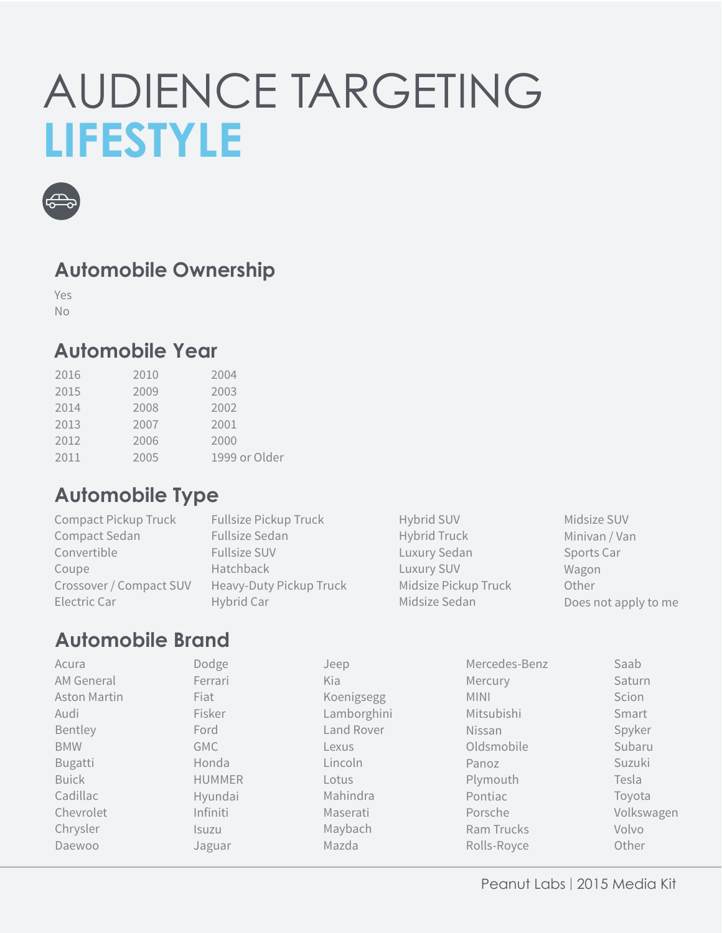### AUDIENCE TARGETING **LIFESTYLE**



#### **Automobile Ownership**

Yes No

#### **Automobile Year**

| 2016 | 2010 | 2004          |
|------|------|---------------|
| 2015 | 2009 | 2003          |
| 2014 | 2008 | 2002          |
| 2013 | 2007 | 2001          |
| 2012 | 2006 | 2000          |
| 2011 | 2005 | 1999 or Older |

#### **Automobile Type**

| Compact Pickup Truck    | <b>Fullsize Pickup Truck</b> | Hybrid SUV           | Midsize SUV          |
|-------------------------|------------------------------|----------------------|----------------------|
| Compact Sedan           | Fullsize Sedan               | Hybrid Truck         | Minivan / Van        |
| Convertible             | <b>Fullsize SUV</b>          | Luxury Sedan         | Sports Car           |
| Coupe                   | Hatchback                    | Luxury SUV           | Wagon                |
| Crossover / Compact SUV | Heavy-Duty Pickup Truck      | Midsize Pickup Truck | Other                |
| Electric Car            | Hybrid Car                   | Midsize Sedan        | Does not apply to me |

#### **Automobile Brand**

| Acura               | Dodge         | Jeep        | Mercedes-Benz | Saab       |
|---------------------|---------------|-------------|---------------|------------|
| AM General          | Ferrari       | Kia         | Mercury       | Saturn     |
| <b>Aston Martin</b> | Fiat          | Koenigsegg  | <b>MINI</b>   | Scion      |
| Audi                | Fisker        | Lamborghini | Mitsubishi    | Smart      |
| Bentley             | Ford          | Land Rover  | Nissan        | Spyker     |
| <b>BMW</b>          | <b>GMC</b>    | Lexus       | Oldsmobile    | Subaru     |
| <b>Bugatti</b>      | Honda         | Lincoln     | Panoz         | Suzuki     |
| <b>Buick</b>        | <b>HUMMER</b> | Lotus       | Plymouth      | Tesla      |
| Cadillac            | Hyundai       | Mahindra    | Pontiac       | Toyota     |
| Chevrolet           | Infiniti      | Maserati    | Porsche       | Volkswagen |
| Chrysler            | <b>Isuzu</b>  | Maybach     | Ram Trucks    | Volvo      |
| Daewoo              | Jaguar        | Mazda       | Rolls-Royce   | Other      |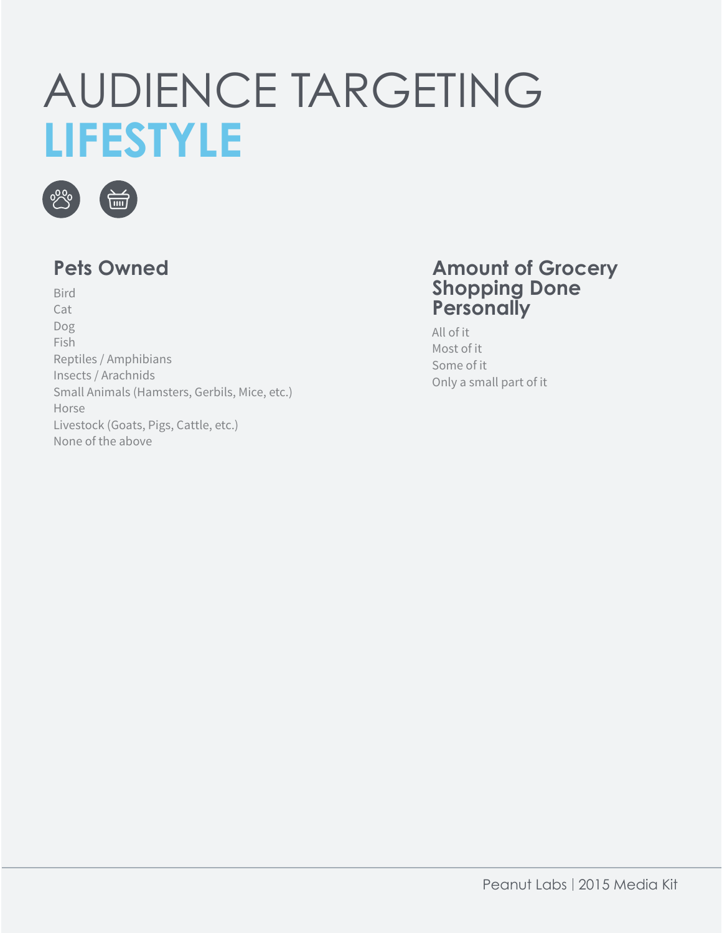### AUDIENCE TARGETING **LIFESTYLE**



Bird Cat Dog Fish Reptiles / Amphibians Insects / Arachnids Small Animals (Hamsters, Gerbils, Mice, etc.) Horse Livestock (Goats, Pigs, Cattle, etc.) None of the above

#### **Pets Owned Amount of Grocery Shopping Done Personally**

All of it Most of it Some of it Only a small part of it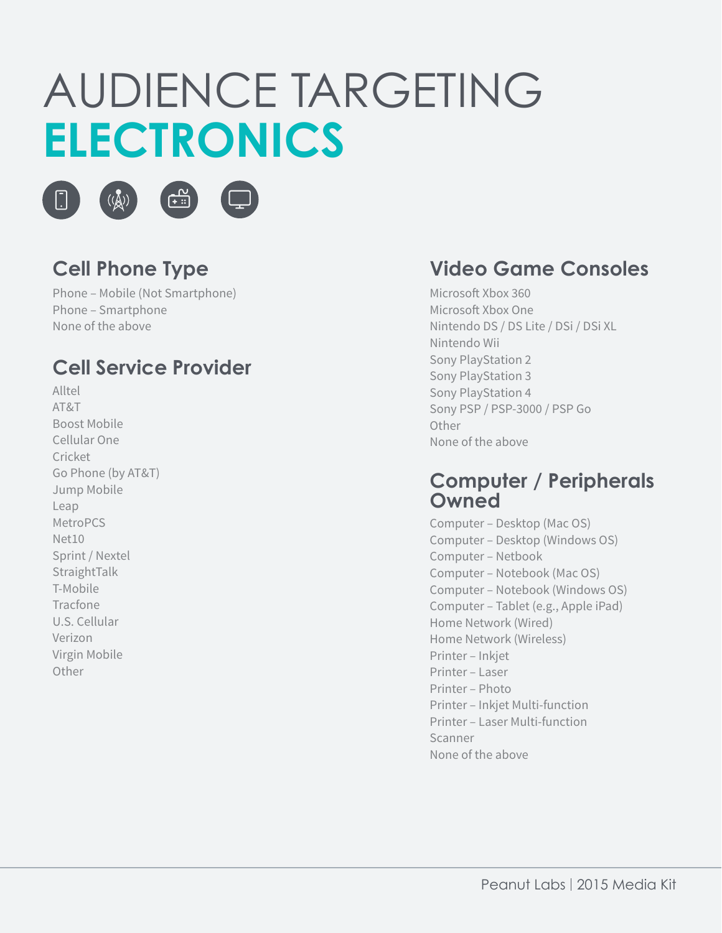# AUDIENCE TARGETING **ELECTRONICS**





### **Cell Phone Type**

 $(\overline{(\mathbb{A})})$ 

Phone – Mobile (Not Smartphone) Phone – Smartphone None of the above

#### **Cell Service Provider**

Alltel AT&T Boost Mobile Cellular One Cricket Go Phone (by AT&T) Jump Mobile Leap MetroPCS Net10 Sprint / Nextel StraightTalk T-Mobile Tracfone U.S. Cellular Verizon Virgin Mobile Other

#### **Video Game Consoles**

Microsoft Xbox 360 Microsoft Xbox One Nintendo DS / DS Lite / DSi / DSi XL Nintendo Wii Sony PlayStation 2 Sony PlayStation 3 Sony PlayStation 4 Sony PSP / PSP-3000 / PSP Go **Other** None of the above

#### **Computer / Peripherals Owned**

Computer – Desktop (Mac OS) Computer – Desktop (Windows OS) Computer – Netbook Computer – Notebook (Mac OS) Computer – Notebook (Windows OS) Computer – Tablet (e.g., Apple iPad) Home Network (Wired) Home Network (Wireless) Printer – Inkjet Printer – Laser Printer – Photo Printer – Inkjet Multi-function Printer – Laser Multi-function Scanner None of the above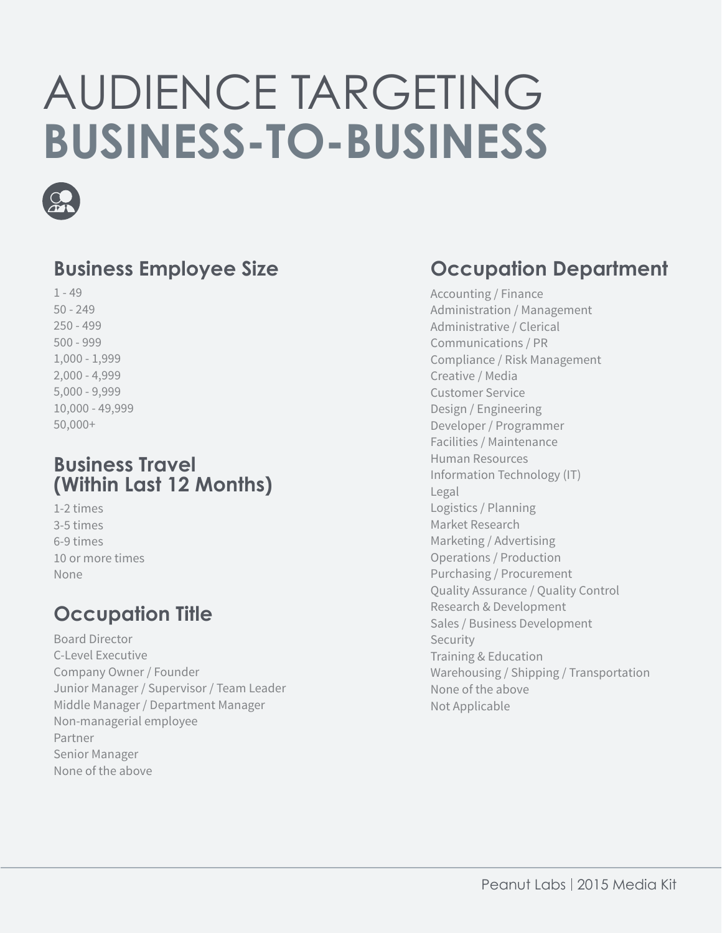# AUDIENCE TARGETING **BUSINESS-TO-BUSINESS**



#### **Business Employee Size**

1 - 49 50 - 249 250 - 499 500 - 999 1,000 - 1,999 2,000 - 4,999 5,000 - 9,999 10,000 - 49,999 50,000+

#### **Business Travel (Within Last 12 Months)**

1-2 times 3-5 times 6-9 times 10 or more times None

### **Occupation Title**

Board Director C-Level Executive Company Owner / Founder Junior Manager / Supervisor / Team Leader Middle Manager / Department Manager Non-managerial employee Partner Senior Manager None of the above

#### **Occupation Department**

Accounting / Finance Administration / Management Administrative / Clerical Communications / PR Compliance / Risk Management Creative / Media Customer Service Design / Engineering Developer / Programmer Facilities / Maintenance Human Resources Information Technology (IT) Legal Logistics / Planning Market Research Marketing / Advertising Operations / Production Purchasing / Procurement Quality Assurance / Quality Control Research & Development Sales / Business Development Security Training & Education Warehousing / Shipping / Transportation None of the above Not Applicable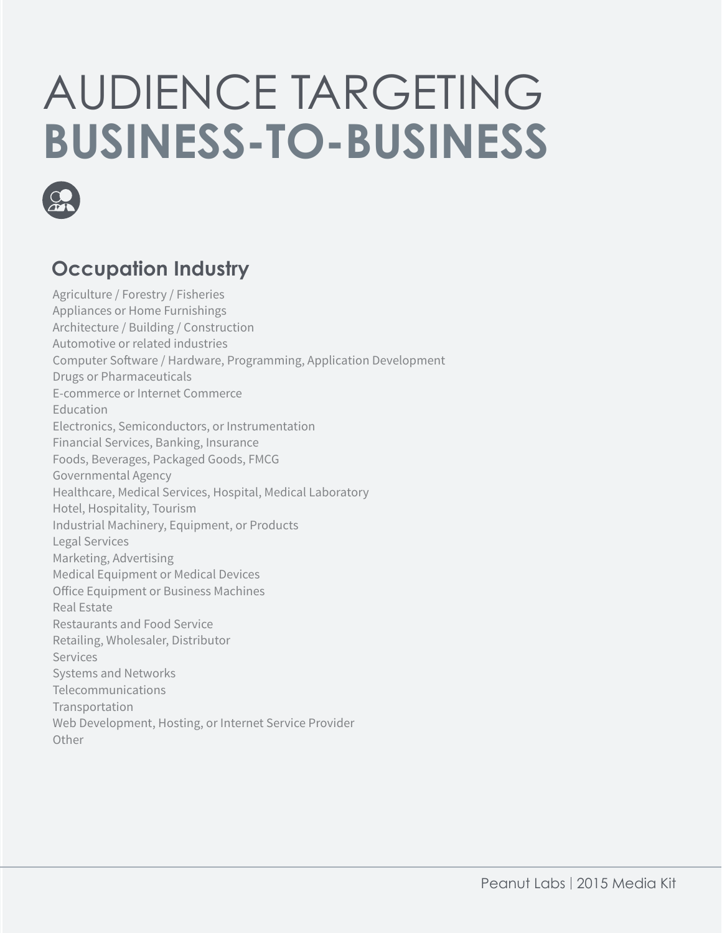# AUDIENCE TARGETING **BUSINESS-TO-BUSINESS**



### **Occupation Industry**

Agriculture / Forestry / Fisheries Appliances or Home Furnishings Architecture / Building / Construction Automotive or related industries Computer Software / Hardware, Programming, Application Development Drugs or Pharmaceuticals E-commerce or Internet Commerce Education Electronics, Semiconductors, or Instrumentation Financial Services, Banking, Insurance Foods, Beverages, Packaged Goods, FMCG Governmental Agency Healthcare, Medical Services, Hospital, Medical Laboratory Hotel, Hospitality, Tourism Industrial Machinery, Equipment, or Products Legal Services Marketing, Advertising Medical Equipment or Medical Devices Office Equipment or Business Machines Real Estate Restaurants and Food Service Retailing, Wholesaler, Distributor **Services** Systems and Networks Telecommunications Transportation Web Development, Hosting, or Internet Service Provider **Other**